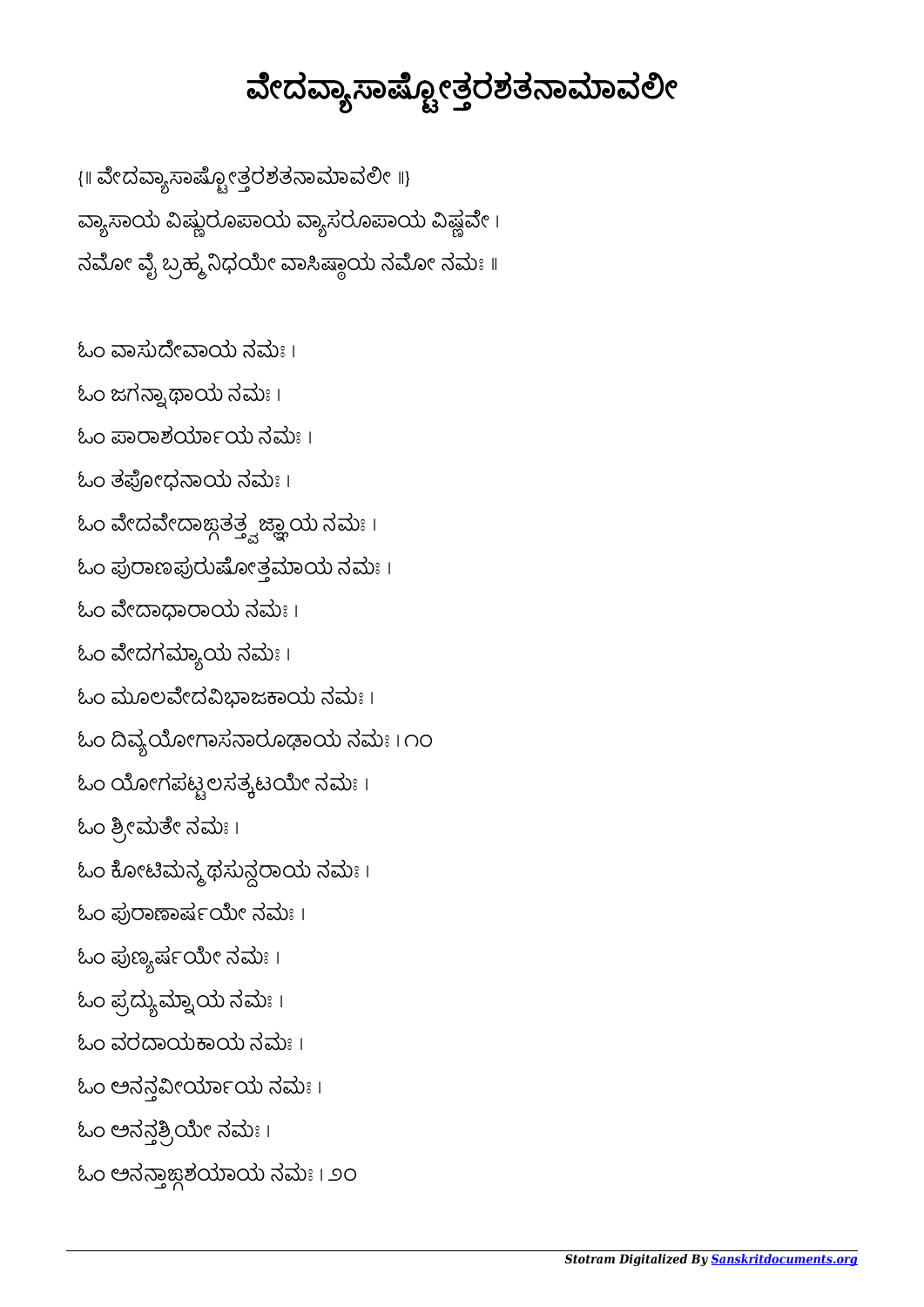## ವೇದವ್ಯಾಸಾಷ್ಟ್ರೋತ್ತರಶತನಾಮಾವಲೀ

{॥ ವೇದವ್ಯಾಸಾಷ್ಪೋತ್ತರಶತನಾಮಾವಲೀ ॥} ವ್ಯಾಸಾಯ ವಿಷ್ಣುರೂಪಾಯ ವ್ಯಾಸರೂಪಾಯ ವಿಷ್ಣವೇ । ನಮೋ ವೈ ಬ್ರಹ್ಮ ನಿಧಯೇ ವಾಸಿಷ್ಠಾಯ ನಮೋ ನಮಃ ॥

ಓಂ ವಾಸುದೇವಾಯ ನಮಃ । ಓಂ ಜಗನ್ನಾಥಾಯ ನಮಃ । ಓಂ ಪಾರಾಶರ್ಯಾಯ ನಮಃ। ಓಂ ತಫೋಧನಾಯ ನಮಃ । ಓಂ ವೇದವೇದಾಙ್ಗತತ್ತ್ವಜ್ಞಾಯ ನಮಃ । ಓಂ ಪುರಾಣಪುರುಷೋತ್ತಮಾಯ ನಮಃ । ಓಂ ವೇದಾಧಾರಾಯ ನಮಃ । ಓಂ ವೇದಗಮ್ಯಾಯ ನಮಃ । ಓಂ ಮೂಲವೇದವಿಭಾಜಕಾಯ ನಮಃ। ಓಂ ದಿವ್ಯಯೋಗಾಸನಾರೂಢಾಯ ನಮಃ । ೧೦ ಓಂ ಯೋಗಪಟ್ಟಲಸತ್ಯಟಯೇ ನಮಃ। ಓಂ ಶ್ರೀಮತೇ ನಮಃ। ಓಂ ಕೋಟಿಮನ್ಮ ಥಸುನ್ದರಾಯ ನಮಃ । ಓಂ ಪುರಾಣಾರ್ಷಯೇ ನಮಃ । ಓಂ ಪುಣ್ಯರ್ಷಯೇ ನಮಃ । ಓಂ ಪ್ರದ್ಯುಮ್ನಾಯ ನಮಃ । ಓಂ ವರಾಯಾಯ ನಮಃ । ಓಂ ಅನನ್ಗವೀರ್ಯಾಯ ನಮಃ। ಓಂ ಅನನ್ಗತ್ರಿಯೇ ನಮಃ । ಓಂ ಅನನ್ತಾಜ್ಗಶಯಾಯ ನಮಃ । ೨೦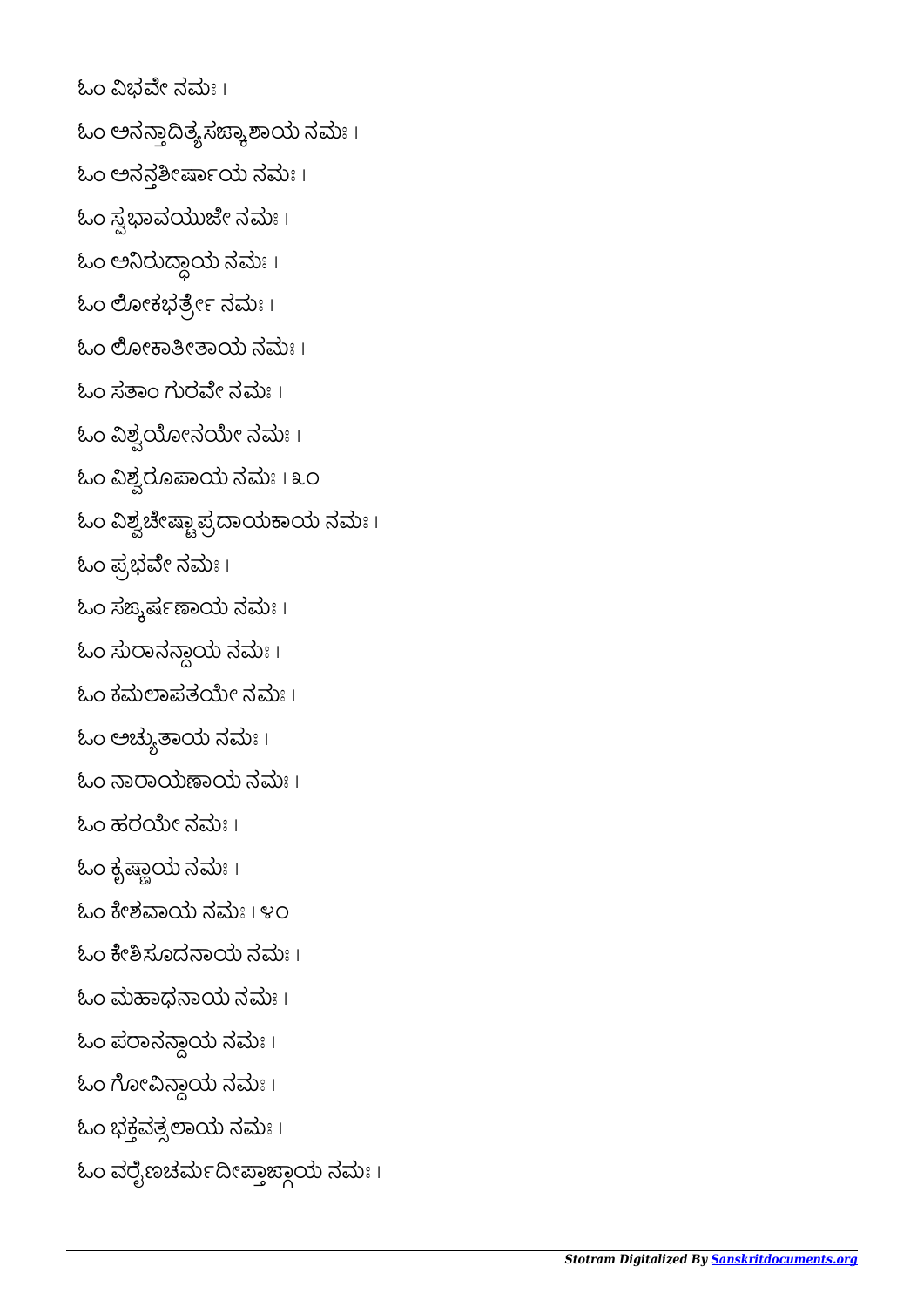ಓಂ ವಿಭವೇ ನಮಃ । ಓಂ ಅನನ್ಗಾದಿತ್ಯಸಙ್ಕಾಶಾಯ ನಮಃ । ಓಂ ಅನನ್ಗಶೀರ್ಷಾಯ ನಮಃ । ಓಂ ಸ್ವಭಾವಯುಜೇ ನಮಃ। ಓಂ ಅನಿರುದ್ದಾಯ ನಮಃ। ಓಂ ಲೋಕಭರ್ತ್ರೇ ನಮಃ। ಓಂ ಲೋಕಾತೀತಾಯ ನಮಃ । ಓಂ ಸತಾಂ ಗುರವೇ ನಮಃ । ಓಂ ವಿಶ್ವಯೋನಯೇ ನಮಃ। ಓಂ ವಿಶ್ವರೂಪಾಯ ನಮಃ।೩೦  $\mathcal{L}$ ಓಂ ವಿಶ್ವಚೇಷ್ಚಾಪ್ರದಾಯಕಾಯ ನಮಃ ।  $\mathcal{L}$ ಂ ಪ್ರಭವೇ ನಮಃ । ಓಂ ಸಙ್ಕರ್ಷಣಾಯ ನಮಃ। ಓಂ ಸುಾನಾಯ ನಮಃ । ಓಂ ಕಮಲಾಪತಯೇ ನಮಃ । ಓಂ ಅಚ್ಯುತಾಯ ನಮಃ। ಓಂ ನಾರಾಯಣಾಯ ನಮಃ । ಓಂ ಹರಯೇ ನಮಃ ।  $\omega$ ಂ ಕೃಷ್ಣಾಯ ನಮಃ । ಓಂ ಕೇಶವಾಯ ನಮಃ । ೪೦ ಓಂ ಕೇಶಿಸೂದನಾಯ ನಮಃ । ಓಂ ಮಾಧಾಯ ನಮಃ । ಓಂ ಪರಾನನ್ದಾಯ ನಮಃ । ಓಂ ಗೋವಿನ್ದಾಯ ನಮಃ । ಓಂ ಭಕ್ತವತ್ಸಲಾಯ ನಮಃ। ಓಂ ವರೈಣಚರ್ಮದೀಪ್ತಾಜ್ಗಾಯ ನಮಃ ।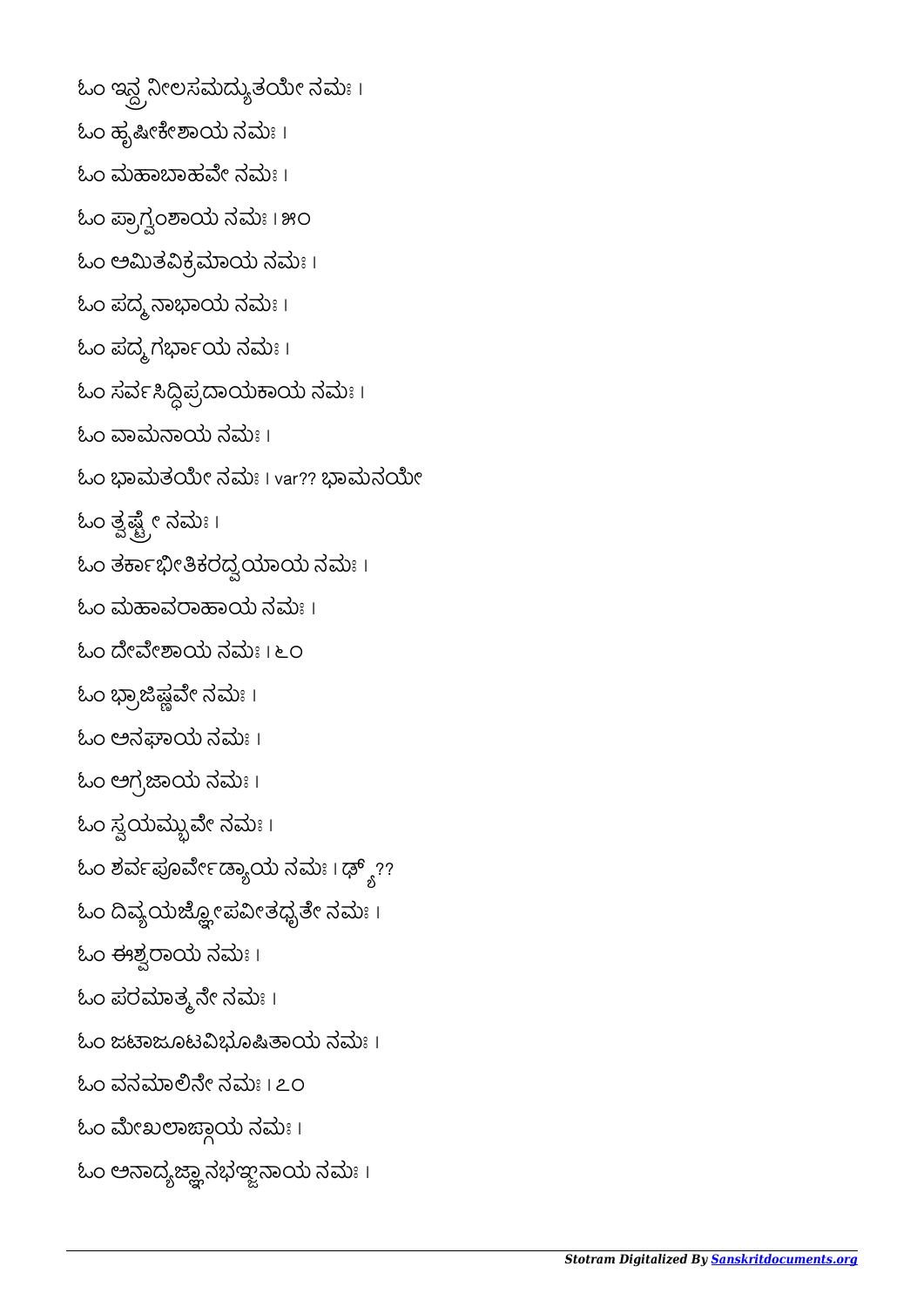```
ಓಂ ಇನ್ದ್ರನೀಲಸಮದ್ಯುತಯೇ ನಮಃ ।
ಓಂ ಹೃಷೀಕೇಶಾಯ ನಮಃ ।
ಓಂ ಮಹಾಬಾಹವೇ ನಮಃ ।
ಓಂ ಪ್ರಾಗ್ವಂಶಾಯ ನಮಃ । ೫೦
ಓಂ ಅಮಿತವಿಕ್ರಮಾಯ ನಮಃ।
ಓಂ ಪದ್ಮ ನಾಭಾಯ ನಮಃ ।
ಓಂ ಪದ್ಮಗರ್ಭಾಯ ನಮಃ।
ಓಂ ಸರ್ವಸಿದ್ಧಿಪ್ರದಾಯಕಾಯ ನಮಃ ।
ಓಂ ವಾಮನಾಯ ನಮಃ ।
ಓಂ ಭಾಮತಯೇ ನಮಃ । var?? ಭಾಮನಯೇ
ಓಂ ತ್ವಷ್ಟ್ರೇ ನಮಃ।
ಓಂ ತರ್ಕಾಭೀತಿಕರದ್ವಯಾಯ ನಮಃ।
ಓಂ ಮಹಾವರಾಹಾಯ ನಮಃ ।
ಓಂ ದೇವೇಶಾಯ ನಮಃ । ೬೦
\omegaಂ ಭ್ರಾಜಿಷ್ಣವೇ ನಮಃ ।
ಓಂ ಅನಘಾಯ ನಮಃ ।
\text{to} ಅಗ್ರಜಾಯ ನಮಃ ।
\mathcal{L}ಒಂ ಸ್ವಯಮ್ಬುವೇ ನಮಃ।
\omegaಂ ಶರ್ವಪೂರ್ವೇಡ್ಯಾಯ ನಮಃ । ಢ್ಶ್ಯ್?ಓಂ ದಿವ್ಯಯುಜ್ಹೋಪವೀತಧೈತೇ ನಮಃ।
ಓಂ ಈಶ್ವರಾಯ ನಮಃ।
ಓಂ ಪರಮಾತ್ಮನೇ ನಮಃ।
ಓಂ ಜಟಾಜೂಟವಿಭೂಷಿತಾಯ ನಮಃ।
ಓಂ ವನಮಾಲಿನೇ ನಮಃ । ೭೦
ಓಂ ಮೇಖಲಾಜ್ದಾಯ ನಮಃ ।
\mathcal{L}ಂ ಅನಾದ್ಯಜ್ಞಾನಭಞ್ವನಾಯ ನಮಃ।
```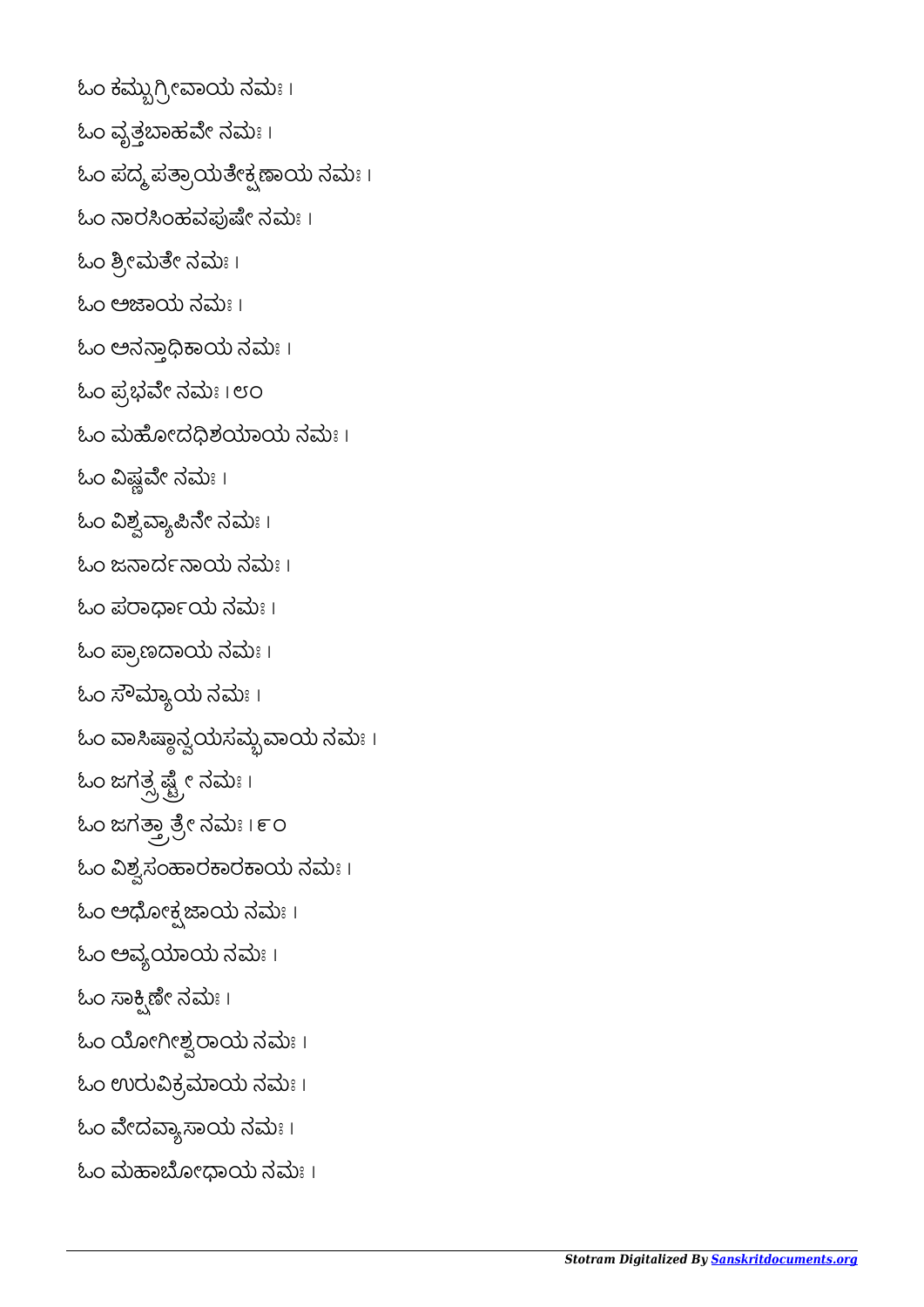```
ಓಂ ಕಮ್ಬುಗ್ರೀವಾಯ ನಮಃ ।
ಓಂ ವೃತ್ತಬಾಹವೇ ನಮಃ।
\mathcal{L}ುಂ ಪದ್ಮ ಪತ್ರಾಯತೇಕ್ಷಣಾಯ ನಮಃ ।
ಓಂ ನಾರಸಿಂಹವಪುಷೇ ನಮಃ।
ಓಂ ಶ್ರೀಮತೇ ನಮಃ।
ಓಂ ಅಜಾಯ ನಮಃ ।
ಓಂ ಅನಾಾಯ ನಮಃ ।
ಓಂ ಪ್ರಭವೇ ನಮಃ । ೮೦
ಓಂ ಮಹೋದದಿಶಯಾಯ ನಮಃ।
ಓಂ ವಿಷ್ಣವೇ ನಮಃ ।
ಓಂ ವಿಶ್ವವ್ಯಾಪಿನೇ ನಮಃ।
ಓಂ ಜನಾರ್ದನಾಯ ನಮಃ ।
ಓಂ ಪರಾರ್ಧಾಯ ನಮಃ।
ಓಂ ಪ್ರಾಣದಾಯ ನಮಃ।
ಓಂ ಸೌಮ್ಯಾಯ ನಮಃ।
ಓಂ ವಾಸಿಷ್ಠಾನ್ವಯಸಮ್ಬವಾಯ ನಮಃ ।
ಓಂ ಜಗತ್ಸ್ಪಷ್ಟ್ರೇ ನಮಃ।
ಓಂ ಜಗತ್ತ್ರಾತ್ರೇ ನಮಃ । ೯೦
ಓಂ ವಿಶ್ವಸಂಹಾರಕಾರಕಾಯ ನಮಃ।
ಓಂ ಅಧೋಕ್ಷಜಾಯ ನಮಃ ।
ಓಂ ಅವ್ಯಯಾಯ ನಮಃ।
ಓಂ ಸಾಕ್ಸ್ರಿಣೀ ನಮಃ ।
ಓಂ ಯೋಗೀಶ್ವರಾಯ ನಮಃ ।
ಓಂ ಉರುವಿಕ್ರಮಾಯ ನಮಃ।
ಓಂ ವೇದವ್ಯಾಸಾಯ ನಮಃ ।
ಓಂ ಮಹಾಬೋಧಾಯ ನಮಃ ।
```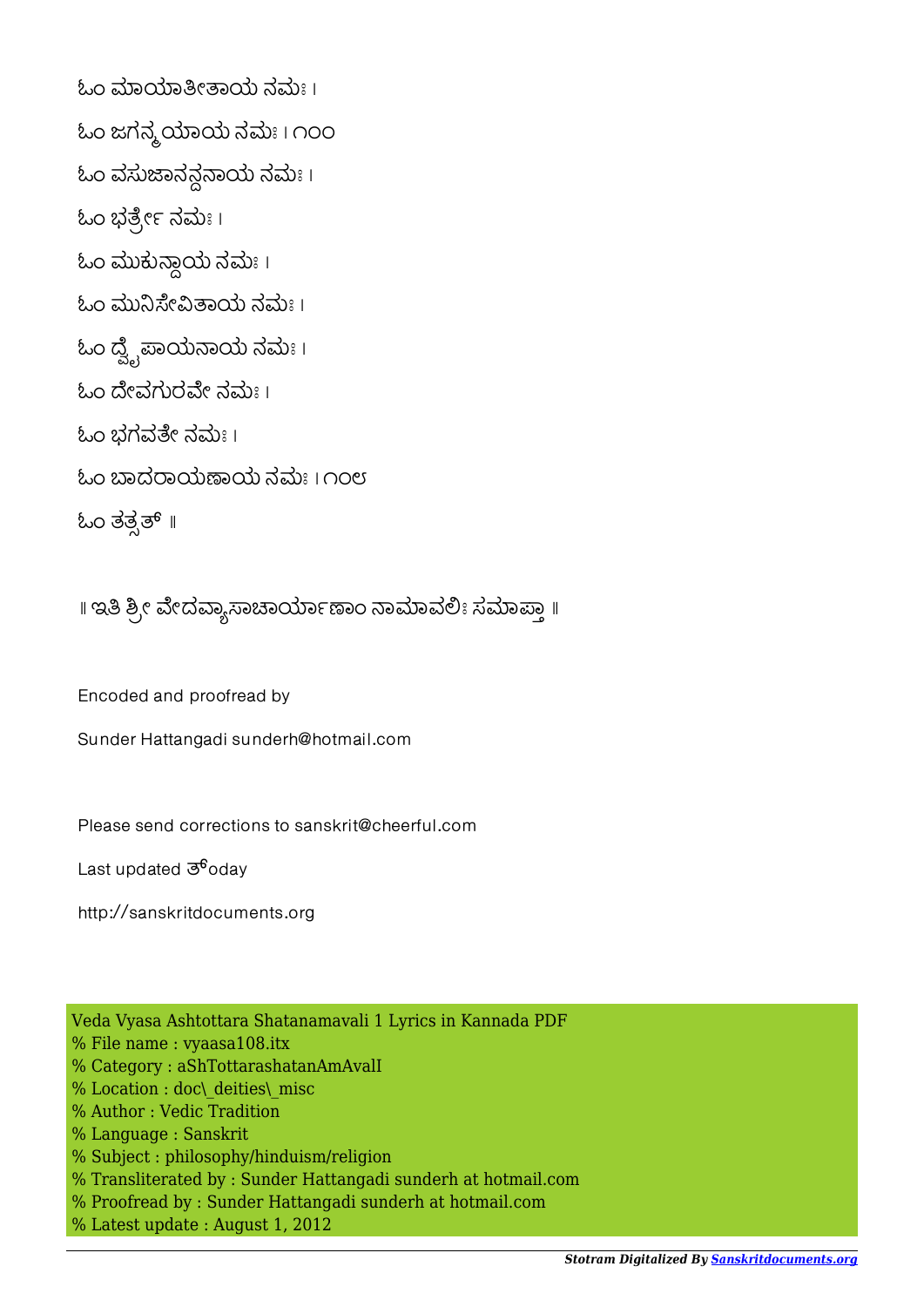ಓಂ ಮಾಯಾತೀತಾಯ ನಮಃ । ಓಂ ಜಗನ್ಮ ಯಾಯ ನಮಃ । ೧೦೦  $\&$ ಂ ವಸುಜಾನನ್ಧನಾಯ ನಮಃ। ಓಂ ಭರ್ತ್ರೇ ನಮಃ। ಓಂ ಮುಕುಾಯ ನಮಃ । ಓಂ ಮುನಿಸೇವಿತಾಯ ನಮಃ । ಓಂ ದ್ವೈಪಾಯನಾಯ ನಮಃ। ಓಂ ದೇವಗುರವೇ ನಮಃ । ಓಂ ಭಗವೇ ನಮಃ । ಓಂ ಾದಾಯಾಯ ನಮಃ । ೧೦೮ ಓಂ ತತ್ಸತ್ ॥

॥ ಇತಿ ಶ್ರೀ ವೇದವ್ಯಾಸಾಚಾರ್ಯಾಣಾಂ ನಾಮಾವಲಿಃ ಸಮಾಪ್ತಾ ॥

Encoded and proofread by

Sunder Hattangadi sunderh@hotmail.com

Please send corrections to sanskrit@cheerful.com

Last updated  $\mathfrak{G}^6$ oday

http://sanskritdocuments.org

Veda Vyasa Ashtottara Shatanamavali 1 Lyrics in Kannada PDF % File name : vyaasa108.itx % Category : aShTottarashatanAmAvalI % Location : doc\ deities\ misc % Author : Vedic Tradition % Language : Sanskrit % Subject : philosophy/hinduism/religion % Transliterated by : Sunder Hattangadi sunderh at hotmail.com % Proofread by : Sunder Hattangadi sunderh at hotmail.com % Latest update : August 1, 2012